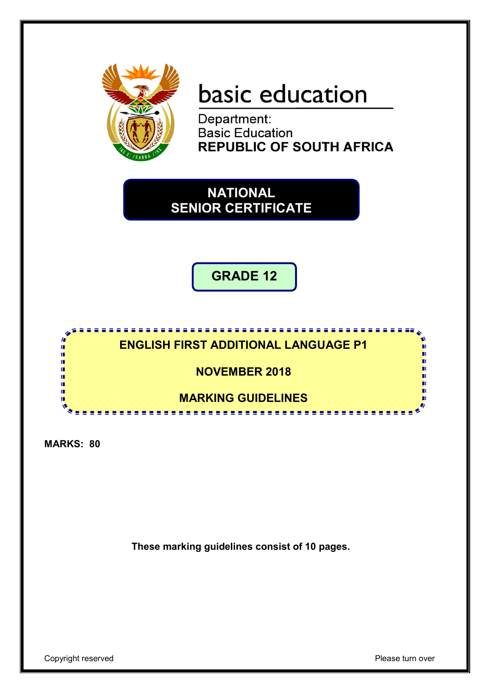

# basic education

Department: **Basic Education REPUBLIC OF SOUTH AFRICA** 

**NATIONAL SENIOR CERTIFICATE**

**GRADE 12**



**MARKS: 80**

**These marking guidelines consist of 10 pages.**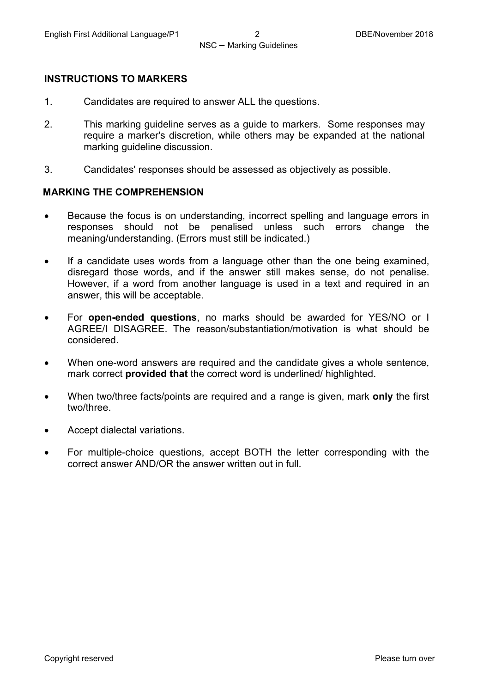#### **INSTRUCTIONS TO MARKERS**

- 1. Candidates are required to answer ALL the questions.
- 2. This marking guideline serves as a guide to markers. Some responses may require a marker's discretion, while others may be expanded at the national marking guideline discussion.
- 3. Candidates' responses should be assessed as objectively as possible.

#### **MARKING THE COMPREHENSION**

- Because the focus is on understanding, incorrect spelling and language errors in responses should not be penalised unless such errors change the meaning/understanding. (Errors must still be indicated.)
- If a candidate uses words from a language other than the one being examined, disregard those words, and if the answer still makes sense, do not penalise. However, if a word from another language is used in a text and required in an answer, this will be acceptable.
- For **open-ended questions**, no marks should be awarded for YES/NO or I AGREE/I DISAGREE. The reason/substantiation/motivation is what should be considered.
- When one-word answers are required and the candidate gives a whole sentence, mark correct **provided that** the correct word is underlined/ highlighted.
- When two/three facts/points are required and a range is given, mark **only** the first two/three.
- Accept dialectal variations.
- For multiple-choice questions, accept BOTH the letter corresponding with the correct answer AND/OR the answer written out in full.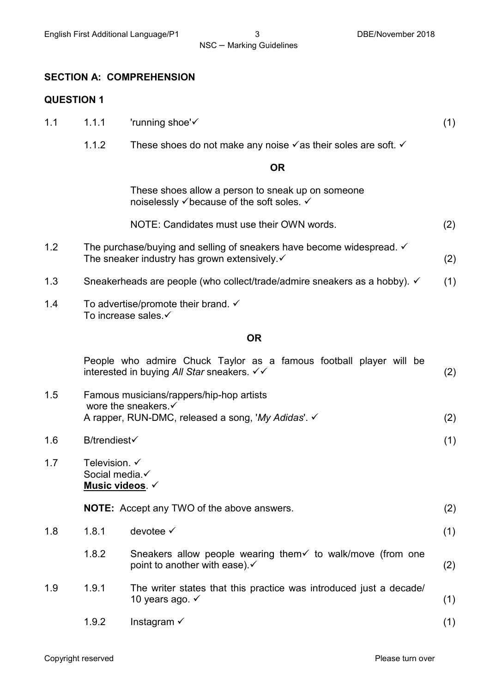#### **SECTION A: COMPREHENSION**

#### **QUESTION 1**

- 1.1 1.1.1  $\blacksquare$  'running shoe'  $\checkmark$  (1)
	- 1.1.2 These shoes do not make any noise  $\checkmark$  as their soles are soft.  $\checkmark$

#### **OR**

These shoes allow a person to sneak up on someone noiselessly  $\checkmark$  because of the soft soles.  $\checkmark$ 

| NOTE: Candidates must use their OWN words. |  |
|--------------------------------------------|--|
|--------------------------------------------|--|

- 1.2 The purchase/buying and selling of sneakers have become widespread.  $\checkmark$ The sneaker industry has grown extensively.  $\checkmark$  and the sneaker industry has grown extensively.  $\checkmark$  and  $\checkmark$  (2)
- 1.3 Sneakerheads are people (who collect/trade/admire sneakers as a hobby).  $\checkmark$  (1)
- 1.4 To advertise/promote their brand.  $\checkmark$ To increase sales.

#### **OR**

|     |                                                                      | People who admire Chuck Taylor as a famous football player will be<br>interested in buying All Star sneakers. $\checkmark\checkmark$ | (2) |
|-----|----------------------------------------------------------------------|--------------------------------------------------------------------------------------------------------------------------------------|-----|
| 1.5 |                                                                      | Famous musicians/rappers/hip-hop artists<br>wore the sneakers. ✓<br>A rapper, RUN-DMC, released a song, 'My Adidas'. √               | (2) |
| 1.6 | <b>B/trendiest√</b>                                                  |                                                                                                                                      | (1) |
| 1.7 | Television. $\checkmark$<br>Social media.<br><u>Music videos</u> . √ |                                                                                                                                      |     |
|     |                                                                      | <b>NOTE:</b> Accept any TWO of the above answers.                                                                                    | (2) |
| 1.8 | 1.8.1                                                                | devotee $\checkmark$                                                                                                                 | (1) |
|     | 1.8.2                                                                | Sneakers allow people wearing them $\checkmark$ to walk/move (from one<br>point to another with ease). $\checkmark$                  | (2) |
| 1.9 | 1.9.1                                                                | The writer states that this practice was introduced just a decade/<br>10 years ago. $\checkmark$                                     | (1) |
|     | 1.9.2                                                                | Instagram $\checkmark$                                                                                                               | (1) |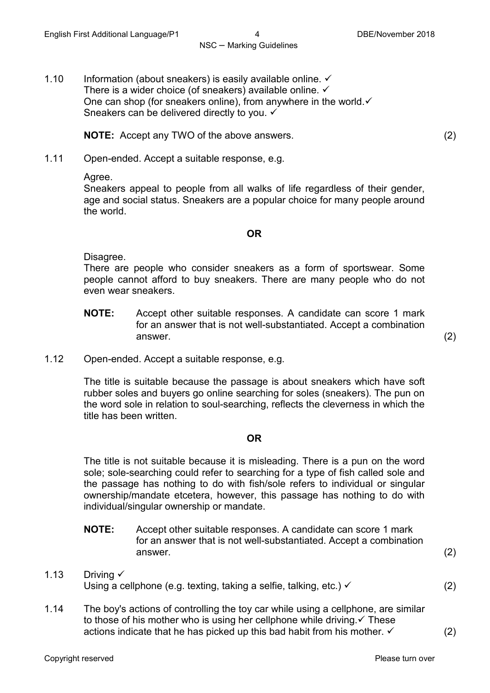1.10 Information (about sneakers) is easily available online.  $\checkmark$ There is a wider choice (of sneakers) available online.  $\checkmark$ One can shop (for sneakers online), from anywhere in the world.  $\checkmark$ Sneakers can be delivered directly to you.  $\checkmark$ 

**NOTE:** Accept any TWO of the above answers. (2)

1.11 Open-ended. Accept a suitable response, e.g.

Agree.

Sneakers appeal to people from all walks of life regardless of their gender, age and social status. Sneakers are a popular choice for many people around the world.

#### **OR**

Disagree.

There are people who consider sneakers as a form of sportswear. Some people cannot afford to buy sneakers. There are many people who do not even wear sneakers.

- **NOTE:** Accept other suitable responses. A candidate can score 1 mark for an answer that is not well-substantiated. Accept a combination answer.  $(2)$
- 1.12 Open-ended. Accept a suitable response, e.g.

The title is suitable because the passage is about sneakers which have soft rubber soles and buyers go online searching for soles (sneakers). The pun on the word sole in relation to soul-searching, reflects the cleverness in which the title has been written.

#### **OR**

The title is not suitable because it is misleading. There is a pun on the word sole; sole-searching could refer to searching for a type of fish called sole and the passage has nothing to do with fish/sole refers to individual or singular ownership/mandate etcetera, however, this passage has nothing to do with individual/singular ownership or mandate.

- **NOTE:** Accept other suitable responses. A candidate can score 1 mark for an answer that is not well-substantiated. Accept a combination answer.  $(2)$
- 1.13 Driving Using a cellphone (e.g. texting, taking a selfie, talking, etc.)  $\checkmark$  (2)
- 1.14 The boy's actions of controlling the toy car while using a cellphone, are similar to those of his mother who is using her cellphone while driving.  $\checkmark$  These actions indicate that he has picked up this bad habit from his mother.  $\checkmark$  (2)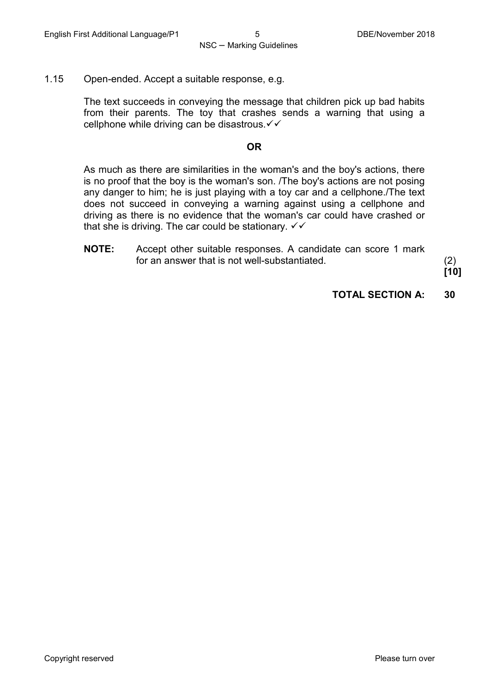1.15 Open-ended. Accept a suitable response, e.g.

The text succeeds in conveying the message that children pick up bad habits from their parents. The toy that crashes sends a warning that using a cellphone while driving can be disastrous. $\checkmark\checkmark$ 

#### **OR**

As much as there are similarities in the woman's and the boy's actions, there is no proof that the boy is the woman's son. /The boy's actions are not posing any danger to him; he is just playing with a toy car and a cellphone./The text does not succeed in conveying a warning against using a cellphone and driving as there is no evidence that the woman's car could have crashed or that she is driving. The car could be stationary.  $\checkmark\checkmark$ 

**NOTE:** Accept other suitable responses. A candidate can score 1 mark for an answer that is not well-substantiated. (2)

**[10]**

**TOTAL SECTION A: 30**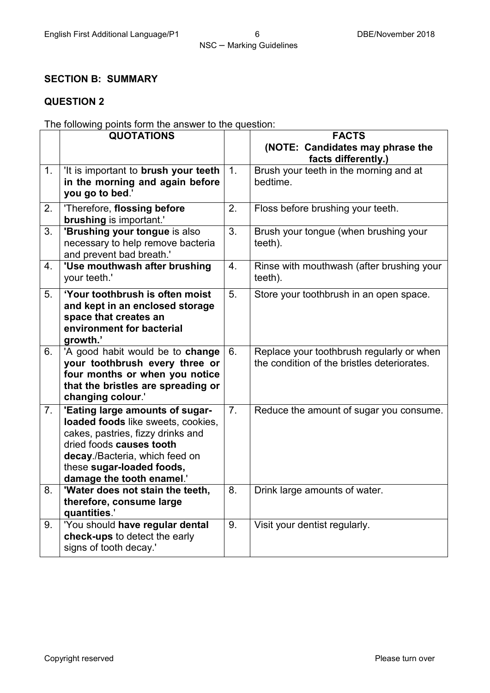### **SECTION B: SUMMARY**

#### **QUESTION 2**

The following points form the answer to the question:

|                | <b>QUOTATIONS</b>                                                                                                                                                                                                                  |                | <b>FACTS</b>                                                                             |
|----------------|------------------------------------------------------------------------------------------------------------------------------------------------------------------------------------------------------------------------------------|----------------|------------------------------------------------------------------------------------------|
|                |                                                                                                                                                                                                                                    |                | (NOTE: Candidates may phrase the<br>facts differently.)                                  |
| 1.             | 'It is important to brush your teeth<br>in the morning and again before<br>you go to bed.'                                                                                                                                         | 1.             | Brush your teeth in the morning and at<br>bedtime.                                       |
| 2.             | 'Therefore, flossing before<br><b>brushing</b> is important.'                                                                                                                                                                      | 2.             | Floss before brushing your teeth.                                                        |
| 3.             | 'Brushing your tongue is also<br>necessary to help remove bacteria<br>and prevent bad breath.'                                                                                                                                     | 3.             | Brush your tongue (when brushing your<br>teeth).                                         |
| 4.             | 'Use mouthwash after brushing<br>your teeth.'                                                                                                                                                                                      | 4.             | Rinse with mouthwash (after brushing your<br>teeth).                                     |
| 5.             | 'Your toothbrush is often moist<br>and kept in an enclosed storage<br>space that creates an<br>environment for bacterial<br>growth.'                                                                                               | 5.             | Store your toothbrush in an open space.                                                  |
| 6.             | 'A good habit would be to change<br>your toothbrush every three or<br>four months or when you notice<br>that the bristles are spreading or<br>changing colour.'                                                                    | 6.             | Replace your toothbrush regularly or when<br>the condition of the bristles deteriorates. |
| 7 <sub>1</sub> | 'Eating large amounts of sugar-<br>loaded foods like sweets, cookies,<br>cakes, pastries, fizzy drinks and<br>dried foods causes tooth<br>decay./Bacteria, which feed on<br>these sugar-loaded foods,<br>damage the tooth enamel.' | 7 <sub>1</sub> | Reduce the amount of sugar you consume.                                                  |
| 8.             | 'Water does not stain the teeth,<br>therefore, consume large<br>quantities.'                                                                                                                                                       | 8.             | Drink large amounts of water.                                                            |
| 9.             | 'You should have regular dental<br>check-ups to detect the early<br>signs of tooth decay.'                                                                                                                                         | 9.             | Visit your dentist regularly.                                                            |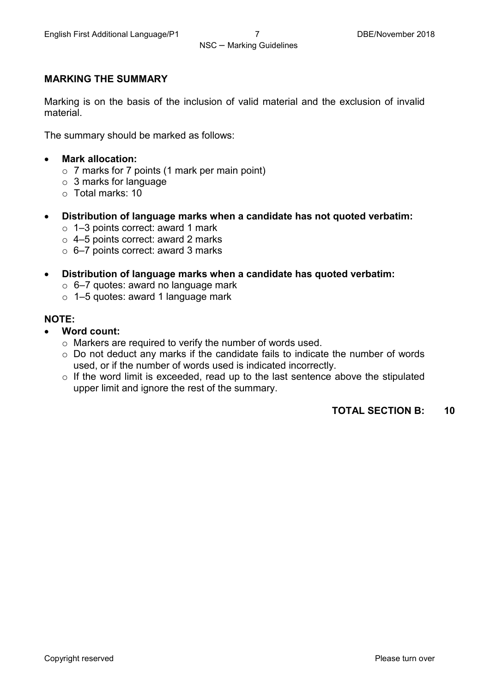#### **MARKING THE SUMMARY**

Marking is on the basis of the inclusion of valid material and the exclusion of invalid material.

The summary should be marked as follows:

- **Mark allocation:**
	- o 7 marks for 7 points (1 mark per main point)
	- o 3 marks for language
	- o Total marks: 10
- **Distribution of language marks when a candidate has not quoted verbatim:**
	- o 1–3 points correct: award 1 mark
	- o 4–5 points correct: award 2 marks
	- $\circ$  6–7 points correct: award 3 marks
- **Distribution of language marks when a candidate has quoted verbatim:**
	- $\circ$  6-7 quotes: award no language mark
	- o 1–5 quotes: award 1 language mark

#### **NOTE:**

- **Word count:**
	- o Markers are required to verify the number of words used.
	- o Do not deduct any marks if the candidate fails to indicate the number of words used, or if the number of words used is indicated incorrectly.
	- $\circ$  If the word limit is exceeded, read up to the last sentence above the stipulated upper limit and ignore the rest of the summary.

**TOTAL SECTION B: 10**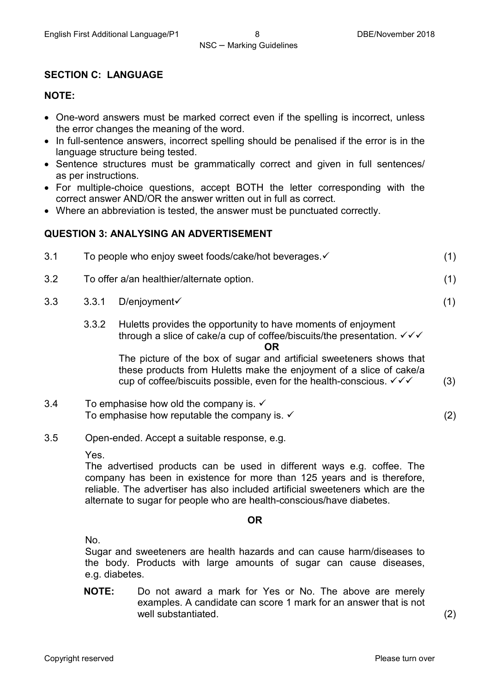#### **SECTION C: LANGUAGE**

#### **NOTE:**

- One-word answers must be marked correct even if the spelling is incorrect, unless the error changes the meaning of the word.
- In full-sentence answers, incorrect spelling should be penalised if the error is in the language structure being tested.
- Sentence structures must be grammatically correct and given in full sentences/ as per instructions.
- For multiple-choice questions, accept BOTH the letter corresponding with the correct answer AND/OR the answer written out in full as correct.
- Where an abbreviation is tested, the answer must be punctuated correctly.

#### **QUESTION 3: ANALYSING AN ADVERTISEMENT**

| 3.1 | To people who enjoy sweet foods/cake/hot beverages. ✓ |  |
|-----|-------------------------------------------------------|--|
| 3.2 | To offer a/an healthier/alternate option.             |  |
| 3.3 | $3.3.1$ D/enjoyment $\checkmark$                      |  |

3.3.2 Huletts provides the opportunity to have moments of enjoyment through a slice of cake/a cup of coffee/biscuits/the presentation.  $\checkmark\checkmark$ 

#### **OR**

The picture of the box of sugar and artificial sweeteners shows that these products from Huletts make the enjoyment of a slice of cake/a cup of coffee/biscuits possible, even for the health-conscious.  $\checkmark\checkmark$ 

- 3.4 To emphasise how old the company is.  $\checkmark$ To emphasise how reputable the company is.  $\checkmark$  and  $\checkmark$  (2)
- 3.5 Open-ended. Accept a suitable response, e.g.

Yes.

The advertised products can be used in different ways e.g. coffee. The company has been in existence for more than 125 years and is therefore, reliable. The advertiser has also included artificial sweeteners which are the alternate to sugar for people who are health-conscious/have diabetes.

#### **OR**

No.

Sugar and sweeteners are health hazards and can cause harm/diseases to the body. Products with large amounts of sugar can cause diseases, e.g. diabetes.

**NOTE:** Do not award a mark for Yes or No. The above are merely examples. A candidate can score 1 mark for an answer that is not well substantiated. (2)

(3)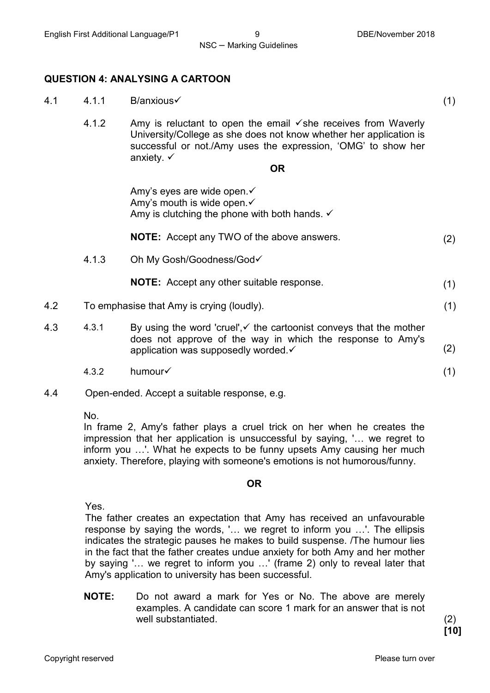(1)

(1)

(1)

NSC – Marking Guidelines

#### **QUESTION 4: ANALYSING A CARTOON**

- 4.1 4.1.1 B/anxious
	- 4.1.2 Amy is reluctant to open the email  $\checkmark$  she receives from Waverly University/College as she does not know whether her application is successful or not./Amy uses the expression, 'OMG' to show her anxiety.  $\checkmark$

#### **OR**

Amy's eyes are wide open. Amy's mouth is wide open. ✓ Amy is clutching the phone with both hands.  $\checkmark$ 

**NOTE:** Accept any TWO of the above answers. (2)

4.1.3 Oh My Gosh/Goodness/God

**NOTE:** Accept any other suitable response.

- 4.2 To emphasise that Amy is crying (loudly). (1)
- 4.3 4.3.1 By using the word 'cruel', $\checkmark$  the cartoonist conveys that the mother does not approve of the way in which the response to Amy's application was supposedly worded. (2)
	- 4.3.2 humour
- 4.4 Open-ended. Accept a suitable response, e.g.

No.

In frame 2, Amy's father plays a cruel trick on her when he creates the impression that her application is unsuccessful by saying, '… we regret to inform you …'. What he expects to be funny upsets Amy causing her much anxiety. Therefore, playing with someone's emotions is not humorous/funny.

#### **OR**

Yes.

The father creates an expectation that Amy has received an unfavourable response by saying the words, '… we regret to inform you …'. The ellipsis indicates the strategic pauses he makes to build suspense. /The humour lies in the fact that the father creates undue anxiety for both Amy and her mother by saying '… we regret to inform you …' (frame 2) only to reveal later that Amy's application to university has been successful.

**NOTE:** Do not award a mark for Yes or No. The above are merely examples. A candidate can score 1 mark for an answer that is not well substantiated. (2)

**[10]**